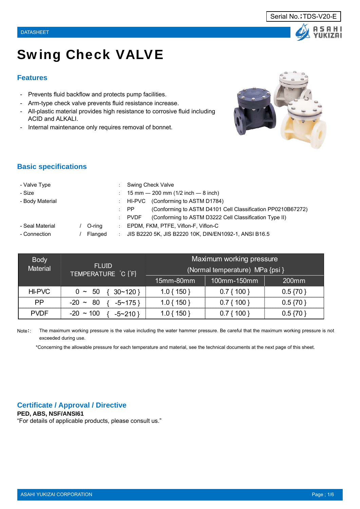# Swing Check VALVE

#### **Features**

- Prevents fluid backflow and protects pump facilities.
- Arm-type check valve prevents fluid resistance increase.
- All-plastic material provides high resistance to corrosive fluid including ACID and ALKALI.
- Internal maintenance only requires removal of bonnet.



#### **Basic specifications**

| - Valve Type    |         |                     | Swing Check Valve                                                           |
|-----------------|---------|---------------------|-----------------------------------------------------------------------------|
| - Size          |         |                     | $\therefore$ 15 mm $-$ 200 mm (1/2 inch $-$ 8 inch)                         |
| - Body Material |         |                     | : HI-PVC (Conforming to ASTM D1784)                                         |
|                 |         |                     | (Conforming to ASTM D4101 Cell Classification PP0210B67272)<br>$\mathsf{P}$ |
|                 |         |                     | (Conforming to ASTM D3222 Cell Classification Type II)<br>: PVDF            |
| - Seal Material | O-rina  | <b>COL</b>          | EPDM, FKM, PTFE, Viflon-F, Viflon-C                                         |
| - Connection    | Flanged | $\sigma_{\rm{max}}$ | JIS B2220 5K, JIS B2220 10K, DIN/EN1092-1, ANSI B16.5                       |

| <b>Body</b><br><b>Material</b> | <b>FLUID</b><br>TEMPERATURE C [F]  | Maximum working pressure<br>(Normal temperature) MPa {psi } |              |             |  |  |  |  |
|--------------------------------|------------------------------------|-------------------------------------------------------------|--------------|-------------|--|--|--|--|
|                                |                                    | 15mm-80mm                                                   | 100mm-150mm  | 200mm       |  |  |  |  |
| <b>HI-PVC</b>                  | $0 \sim 50$<br>$30 \sim 120$ }     | $1.0\{150\}$                                                | $0.7\{100\}$ | $0.5\{70\}$ |  |  |  |  |
| <b>PP</b>                      | -80<br>$-20 \sim$<br>$-5 \sim 175$ | $1.0\{150\}$                                                | $0.7\{100\}$ | $0.5\{70\}$ |  |  |  |  |
| <b>PVDF</b>                    | $-20 \sim 100$<br>$-5 \sim 210$    | 1.0 { 150 }                                                 | $0.7\{100\}$ | $0.5\{70\}$ |  |  |  |  |

Note:: The maximum working pressure is the value including the water hammer pressure. Be careful that the maximum working pressure is not exceeded during use.

\*Concerning the allowable pressure for each temperature and material, see the technical documents at the next page of this sheet.

#### **Certificate / Approval / Directive**

**PED, ABS, NSF/ANSI61** "For details of applicable products, please consult us."



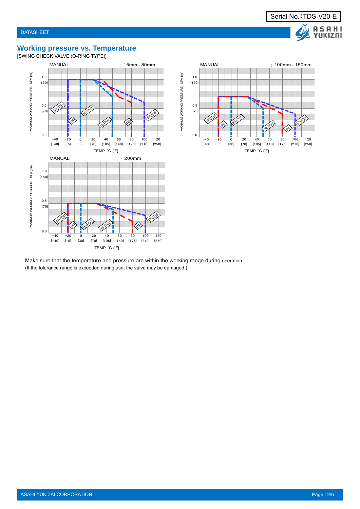### **Working pressure vs. Temperature**

[SWING CHECK VALVE (O-RING TYPE)]





Make sure that the temperature and pressure are within the working range during operation. (If the tolerance range is exceeded during use, the valve may be damaged.)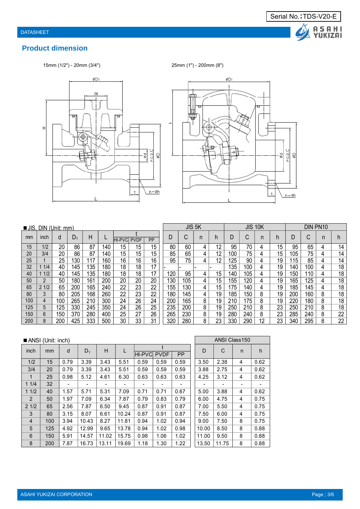

# **Product dimension**

15mm (1/2") - 20mm (3/4") 25mm (1") - 200mm (8")





|     | JIS, DIN (Unit: mm) |     |     |     |     |                 |             |    |     |        | JIS <sub>5K</sub> |    |     | JIS    | 10K |    | DIN PN10 |        |   |    |
|-----|---------------------|-----|-----|-----|-----|-----------------|-------------|----|-----|--------|-------------------|----|-----|--------|-----|----|----------|--------|---|----|
| mm  | inch                | d   | D,  | Η   |     | <b>IHI-PVCI</b> | <b>PVDF</b> | PP | D   | ⌒<br>◡ | n                 |    | D   | ⌒<br>U | n   |    | D        | ⌒<br>◡ | n |    |
| 15  | 1/2                 | 20  | 86  | 87  | 140 | 15              | 15          | 15 | 80  | 60     | 4                 | 12 | 95  | 70     | 4   | 15 | 95       | 65     | 4 | 14 |
| 20  | 3/4                 | 20  | 86  | 87  | 140 | 15              | 15          | 15 | 85  | 65     | 4                 | 12 | 100 | 75     | 4   | 15 | 105      | 75     | 4 | 14 |
| 25  |                     | 25  | 130 | 17  | 160 | 16              | 16          | 16 | 95  | 75     | 4                 | 12 | 125 | 90     | 4   | 19 | 115.     | 85     | 4 | 14 |
| 32  | 1/4                 | 40  | 145 | 135 | 180 | 18              | 18          | 17 |     |        |                   |    | 135 | 100    | 4   | 19 | 140      | 100    | 4 | 18 |
| 40  | 1/2                 | 40  | 145 | 135 | 180 | 18              | 18          | 17 | 120 | 95     | 4                 | 15 | 140 | 105    | 4   | 19 | 150      | 110    | 4 | 18 |
| 50  | າ                   | 50  | 180 | 161 | 200 | 20              | 20          | 20 | 130 | 105    | 4                 | 15 | 155 | 120    | 4   | 19 | 165      | 125    | 4 | 18 |
| 65  | 21/2                | 65  | 200 | 165 | 240 | 22              | 23          | 22 | 155 | 30     | 4                 | 15 | 175 | 140    | 4   | 19 | 185      | 145    | 4 | 18 |
| 80  | 3                   | 80  | 205 | 168 | 260 | 22              | 23          | 22 | 180 | 145    | 4                 | 19 | 185 | 150    | 8   | 19 | 200      | 160    | 8 | 18 |
| 100 | 4                   | 100 | 265 | 210 | 300 | 24              | 26          | 24 | 200 | 165    | 8                 | 19 | 210 | 175    | 8   | 19 | 220      | 180    | 8 | 18 |
| 125 | 5                   | 125 | 330 | 245 | 350 | 24              | 26          | 25 | 235 | 200    | 8                 | 19 | 250 | 210    | 8   | 23 | 250      | 210    | 8 | 18 |
| 150 | 6                   | 150 | 370 | 280 | 400 | 25              | 27          | 26 | 265 | 230    | 8                 | 19 | 280 | 240    | 8   | 23 | 285      | 240    | 8 | 22 |
| 200 | 8                   | 200 | 425 | 333 | 500 | 30              | 33          | 31 | 320 | 280    | 8                 | 23 | 330 | 290    | 12  | 23 | 340      | 295    | 8 | 22 |

|                | ANSI (Unit: inch) |      | ANSI Class150 |       |       |        |             |           |       |       |              |      |
|----------------|-------------------|------|---------------|-------|-------|--------|-------------|-----------|-------|-------|--------------|------|
| inch           | mm                | d    | $D_1$         | H     |       | HI-PVC | <b>PVDF</b> | <b>PP</b> | D     | C     | $\mathsf{n}$ | h    |
| 1/2            | 15                | 0.79 | 3.39          | 3.43  | 5.51  | 0.59   | 0.59        | 0.59      | 3.50  | 2.38  | 4            | 0.62 |
| 3/4            | 20                | 0.79 | 3.39          | 3.43  | 5.51  | 0.59   | 0.59        | 0.59      | 3.88  | 2.75  | 4            | 0.62 |
| $\mathbf{1}$   | 25                | 0.98 | 5.12          | 4.61  | 6.30  | 0.63   | 0.63        | 0.63      | 4.25  | 3.12  | 4            | 0.62 |
| 11/4           | 32                |      | -             | -     |       |        | -           | ۰         |       |       |              |      |
| 11/2           | 40                | 1.57 | 5.71          | 5.31  | 7.09  | 0.71   | 0.71        | 0.67      | 5.00  | 3.88  | 4            | 0.62 |
| $\overline{2}$ | 50                | 1.97 | 7.09          | 6.34  | 7.87  | 0.79   | 0.83        | 0.79      | 6.00  | 4.75  | 4            | 0.75 |
| 21/2           | 65                | 2.56 | 7.87          | 6.50  | 9.45  | 0.87   | 0.91        | 0.87      | 7.00  | 5.50  | 4            | 0.75 |
| 3              | 80                | 3.15 | 8.07          | 6.61  | 10.24 | 0.87   | 0.91        | 0.87      | 7.50  | 6.00  | 4            | 0.75 |
| $\overline{4}$ | 100               | 3.94 | 10.43         | 8.27  | 11.81 | 0.94   | 1.02        | 0.94      | 9.00  | 7.50  | 8            | 0.75 |
| 5              | 125               | 4.92 | 12.99         | 9.65  | 13.78 | 0.94   | 1.02        | 0.98      | 10.00 | 8.50  | 8            | 0.88 |
| 6              | 150               | 5.91 | 14.57         | 11.02 | 15.75 | 0.98   | 1.06        | 1.02      | 11.00 | 9.50  | 8            | 0.88 |
| 8              | 200               | 7.87 | 16.73         | 13.11 | 19.69 | 1.18   | 1.30        | 1.22      | 13.50 | 11.75 | 8            | 0.88 |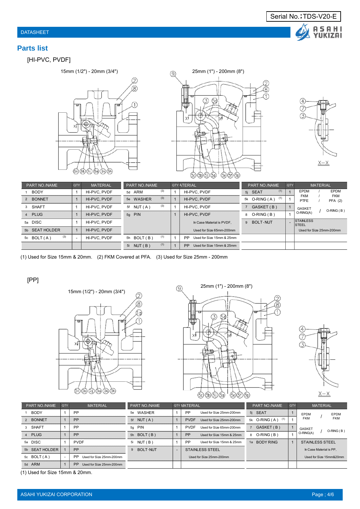## **Parts list**

# [HI-PVC, PVDF]







| PART NO./NAME       | QTY | <b>MATERIAL</b> | <b>PART NO./NAME</b> |     | <b>QTY ATERIAL</b>                     |              | PART NO./NAME        | <b>QTY</b> |                                   | <b>MATERIAL</b>          |
|---------------------|-----|-----------------|----------------------|-----|----------------------------------------|--------------|----------------------|------------|-----------------------------------|--------------------------|
| <b>BODY</b>         |     | HI-PVC, PVDF    | 5d ARM               | (3) | HI-PVC, PVDF                           |              | (1)<br>5i SEAT       |            | <b>EPDM</b>                       | <b>EPDM</b>              |
| 2 BONNET            |     | HI-PVC, PVDF    | 5e WASHER            | (3) | HI-PVC, PVDF                           |              | (1)<br>5k O-RING (A) |            | <b>FKM</b><br>PTFE                | <b>FKM</b><br>PFA(2)     |
| SHAFT<br>3          |     | HI-PVC, PVDF    | 5f NUT(A)            | (3) | HI-PVC, PVDF                           |              | 7 GASKET (B)         |            | GASKET                            | $O-RING(B)$              |
| 4 PLUG              |     | HI-PVC, PVDF    | 5g PIN               |     | HI-PVC, PVDF                           | 8 O-RING (B) |                      |            | O-RING(A)                         |                          |
| 5a DISC             |     | HI-PVC, PVDF    |                      |     | In Case Material is PVDF.              |              | 9 BOLT NUT           |            | <b>STAINLESS</b><br><b>ISTEEL</b> |                          |
| 5b SEAT HOLDER      |     | HI-PVC, PVDF    |                      |     | Used for Size 65mm-200mm               |              |                      |            |                                   | Used for Size 25mm-200mm |
| (3)<br>5c $BOLT(A)$ |     | HI-PVC, PVDF    | 5h BOLT (B)          | (1) | PP.<br>Used for Size 15mm & 25mm       |              |                      |            |                                   |                          |
|                     |     |                 | 5i NUT (B)           | (1) | <b>PP</b><br>Used for Size 15mm & 25mm |              |                      |            |                                   |                          |

(1) Used for Size 15mm & 20mm. (2) FKM Covered at PFA. (3) Used for Size 25mm - 200mm

[PP]







| PART NO./NAME  | QTY | <b>MATERIAL</b>                       | PART NO./NAME                   |        | <b>QTY MATERIAL</b>                     | PART NO./NAME         | <b>QTY</b>   | <b>MATERIAL</b>              |
|----------------|-----|---------------------------------------|---------------------------------|--------|-----------------------------------------|-----------------------|--------------|------------------------------|
| <b>BODY</b>    |     | <b>PP</b>                             | WASHER<br>5e                    |        | <b>PP</b><br>Used for Size 25mm-200mm   | 5j SEAT               |              | <b>EPDM</b><br>EPDM          |
| 2 BONNET       |     | <b>PP</b>                             | 5f $NUT(A)$                     |        | <b>PVDF</b><br>Used for Size 25mm-200mm | 5k $O-RING(A)$<br>(1) |              | <b>FKM</b><br>FKM            |
| 3 SHAFT        |     | <b>PP</b>                             | <b>PIN</b><br>5q                |        | <b>PVDF</b><br>Used for Size 65mm-200mm | 7 GASKET (B)          |              | <b>GASKET</b><br>$O-RING(B)$ |
| 4 PLUG         |     | PP                                    | 5h $BOLT(B)$                    |        | PP<br>Used for Size 15mm & 25mm         | 8 O-RING (B)          |              | O-RING(A)                    |
| 5a DISC        |     | <b>PVDF</b>                           | NUT (B)<br>5i                   |        | <b>PP</b><br>Used for Size 15mm & 25mm  | 1a BODY RING          | $\mathbf{1}$ | STAINLESS STEEL              |
| 5b SEAT HOLDER |     | PP                                    | <b>BOLT NUT</b><br>$\mathbf{Q}$ | $\sim$ | STAINLESS STEEL                         |                       |              | In Case Material is PP.      |
| 5c $BOLT(A)$   |     | PP<br>Used for Size 25mm-200mm        |                                 |        | Used for Size 25mm-200mm                |                       |              | Used for Size 15mm&20mm      |
| 5d ARM         |     | <b>PP</b><br>Used for Size 25mm-200mm |                                 |        |                                         |                       |              |                              |

(1) Used for Size 15mm & 20mm.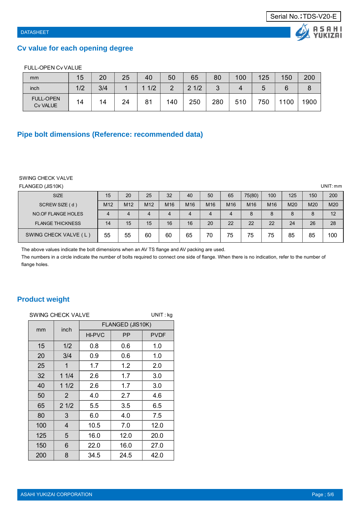# **Cv value for each opening degree**

#### FULL-OPEN Cv VALUE

| mm                           | 15  | 20  | 25 | 40  | 50  | 65       | 80  | 100 | 125 | 150 | 200 |
|------------------------------|-----|-----|----|-----|-----|----------|-----|-----|-----|-----|-----|
| inch                         | 1/2 | 3/4 |    | 1/2 |     | 1/2<br>ົ | ◠   |     |     |     |     |
| <b>FULL-OPEN</b><br>Cv VALUE | 14  | 14  | 24 | 81  | 140 | 250      | 280 | 510 | 750 | 100 | 900 |

# **Pipe bolt dimensions (Reference: recommended data)**

#### SWING CHECK VALVE

| FLANGED (JIS10K)        |                 |                 |                 |                 |                 |                 |                 |                 |     |     |     | UNIT:mm |
|-------------------------|-----------------|-----------------|-----------------|-----------------|-----------------|-----------------|-----------------|-----------------|-----|-----|-----|---------|
| <b>SIZE</b>             | 15              | 20              | 25              | 32              | 40              | 50              | 65              | 75(80)          | 100 | 125 | 150 | 200     |
| SCREW SIZE (d)          | M <sub>12</sub> | M <sub>12</sub> | M <sub>12</sub> | M <sub>16</sub> | M <sub>16</sub> | M <sub>16</sub> | M <sub>16</sub> | M <sub>16</sub> | M16 | M20 | M20 | M20     |
| NO.OF FLANGE HOLES      | 4               |                 |                 | 4               |                 |                 |                 | 8               | 8   |     | 8   | 12      |
| <b>FLANGE THICKNESS</b> | 14              | 15              | 15              | 16              | 16              | 20              | 22              | 22              | 22  | 24  | 26  | 28      |
| SWING CHECK VALVE (L)   | 55              | 55              | 60              | 60              | 65              | 70              | 75              | 75              | 75  | 85  | 85  | 100     |

The above values indicate the bolt dimensions when an AV TS flange and AV packing are used.

The numbers in a circle indicate the number of bolts required to connect one side of flange. When there is no indication, refer to the number of flange holes.

# **Product weight**

|     | SWING CHECK VALVE<br>UNIT: kg |               |                  |             |  |  |  |  |  |  |  |  |
|-----|-------------------------------|---------------|------------------|-------------|--|--|--|--|--|--|--|--|
| mm  | inch                          |               | FLANGED (JIS10K) |             |  |  |  |  |  |  |  |  |
|     |                               | <b>HI-PVC</b> | <b>PP</b>        | <b>PVDF</b> |  |  |  |  |  |  |  |  |
| 15  | 1/2                           | 0.8           | 0.6              | 1.0         |  |  |  |  |  |  |  |  |
| 20  | 3/4                           | 0.9           | 0.6              | 1.0         |  |  |  |  |  |  |  |  |
| 25  | 1                             | 1.7           | 1.2              | 2.0         |  |  |  |  |  |  |  |  |
| 32  | 11/4                          | 2.6           | 1.7              | 3.0         |  |  |  |  |  |  |  |  |
| 40  | 11/2                          | 2.6           | 1.7              | 3.0         |  |  |  |  |  |  |  |  |
| 50  | $\overline{2}$                | 4.0           | 2.7              | 4.6         |  |  |  |  |  |  |  |  |
| 65  | 21/2                          | 5.5           | 3.5              | 6.5         |  |  |  |  |  |  |  |  |
| 80  | 3                             | 6.0           | 4.0              | 7.5         |  |  |  |  |  |  |  |  |
| 100 | 4                             | 10.5          | 7.0              | 12.0        |  |  |  |  |  |  |  |  |
| 125 | 5                             | 16.0          | 12.0             | 20.0        |  |  |  |  |  |  |  |  |
| 150 | 6                             | 22.0          | 16.0             | 27.0        |  |  |  |  |  |  |  |  |
| 200 | 8                             | 34.5          | 24.5             | 42.0        |  |  |  |  |  |  |  |  |